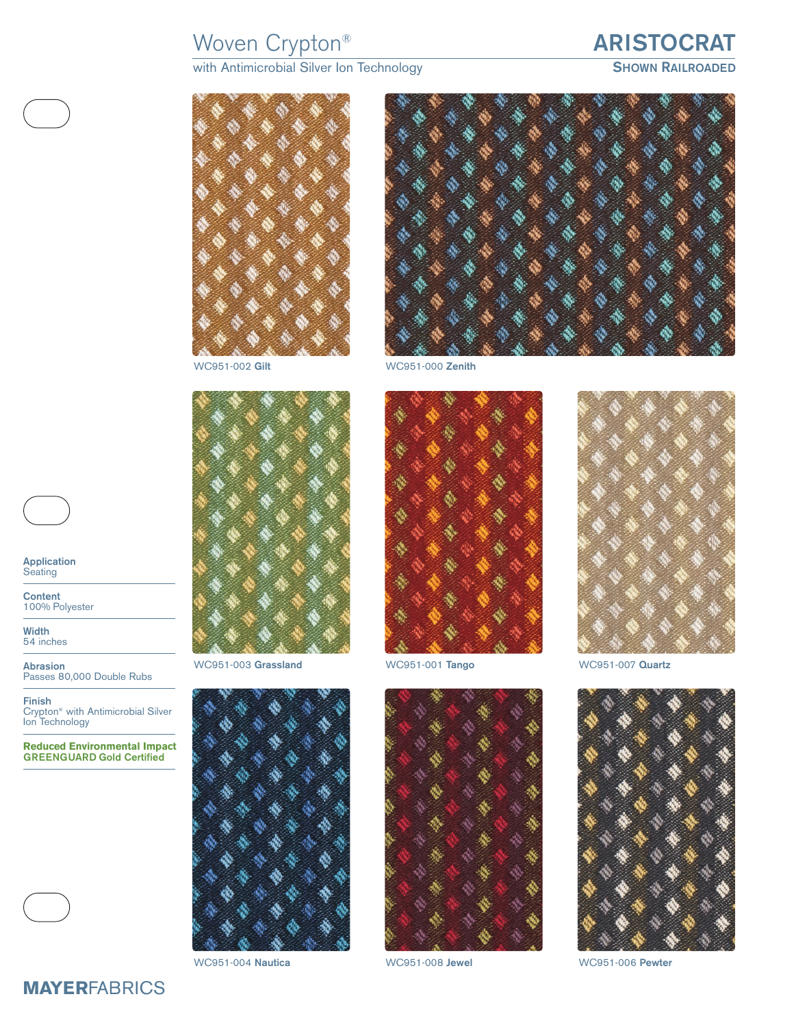# Woven Crypton® **ARISTOCRAT**

with Antimicrobial Silver Ion Technology<br>
SHOWN **SHOWN RAILROADED** 





WC951-002 **Gilt** WC951-000 **Zenith**



WC951-003 **Grassland** WC951-001 **Tango** WC951-007 **Quartz**









**Application Seating** 

**Content** 100% Polyester

**Width** 54 inches

**Abrasion** Passes 80,000 Double Rubs

**Finish** Crypton® with Antimicrobial Silver Ion Technology

**Reduced Environmental Impact GREENGUARD Gold Certified**





WC951-004 **Nautica** WC951-008 **Jewel** WC951-006 **Pewter**



**MAYER**FABRICS